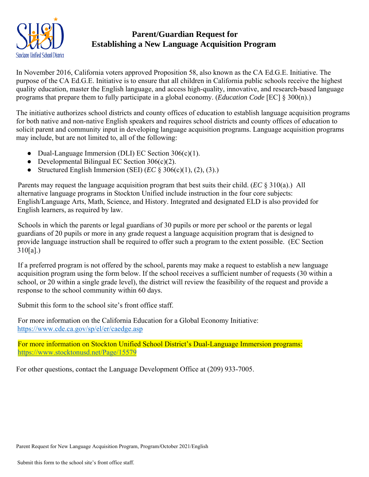

## **Parent/Guardian Request for Establishing a New Language Acquisition Program**

In November 2016, California voters approved Proposition 58, also known as the CA Ed.G.E. Initiative. The purpose of the CA Ed.G.E. Initiative is to ensure that all children in California public schools receive the highest quality education, master the English language, and access high-quality, innovative, and research-based language programs that prepare them to fully participate in a global economy. (*Education Code* [EC] § 300(n).)

The initiative authorizes school districts and county offices of education to establish language acquisition programs for both native and non-native English speakers and requires school districts and county offices of education to solicit parent and community input in developing language acquisition programs. Language acquisition programs may include, but are not limited to, all of the following:

- Dual-Language Immersion (DLI) EC Section 306(c)(1).
- Developmental Bilingual EC Section  $306(c)(2)$ .
- Structured English Immersion (SEI)  $(EC \& 306(c)(1), (2), (3))$ .

Parents may request the language acquisition program that best suits their child. (*EC* § 310(a).) All alternative language programs in Stockton Unified include instruction in the four core subjects: English/Language Arts, Math, Science, and History. Integrated and designated ELD is also provided for English learners, as required by law.

Schools in which the parents or legal guardians of 30 pupils or more per school or the parents or legal guardians of 20 pupils or more in any grade request a language acquisition program that is designed to provide language instruction shall be required to offer such a program to the extent possible. (EC Section 310[a].)

If a preferred program is not offered by the school, parents may make a request to establish a new language acquisition program using the form below. If the school receives a sufficient number of requests (30 within a school, or 20 within a single grade level), the district will review the feasibility of the request and provide a response to the school community within 60 days.

Submit this form to the school site's front office staff.

For more information on the California Education for a Global Economy Initiative: https://www.cde.ca.gov/sp/el/er/caedge.asp

For more information on Stockton Unified School District's Dual-Language Immersion programs: https://www.stocktonusd.net/Page/15579

For other questions, contact the Language Development Office at (209) 933-7005.

Parent Request for New Language Acquisition Program, Program/October 2021/English

Submit this form to the school site's front office staff.